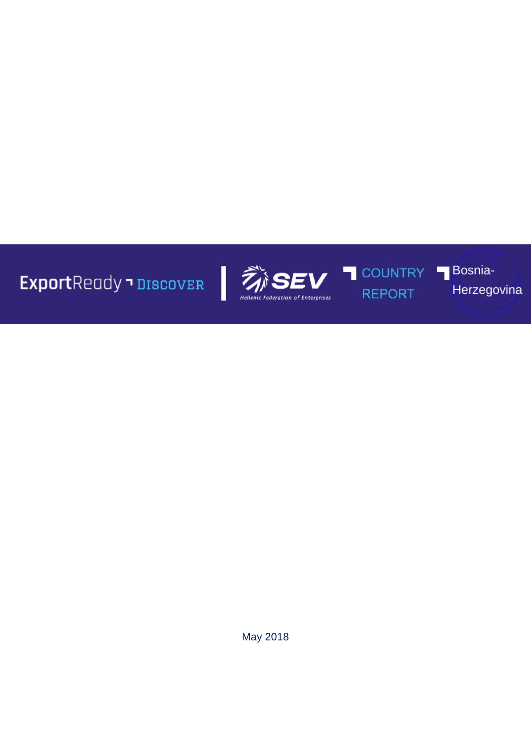

 $\blacksquare$ 

COUNTRY **REPORT** 

**Bosnia-Herzegovina** 

May 2018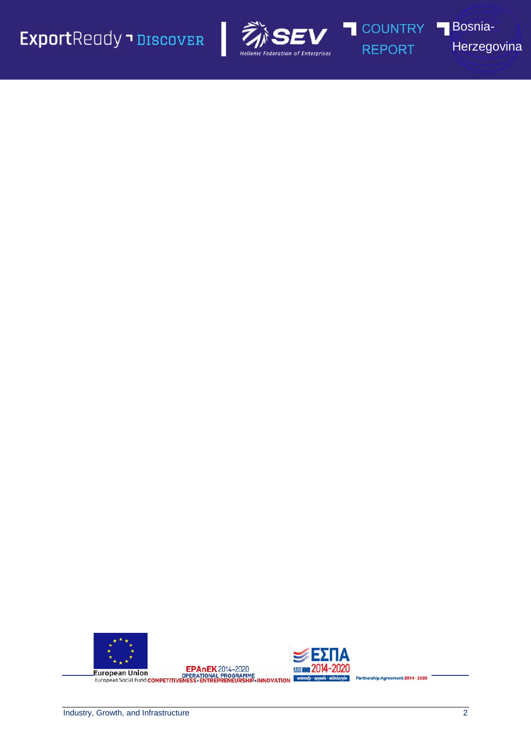

I

COUNTRY Bosnia-**REPORT** 

**Herzegovina** 

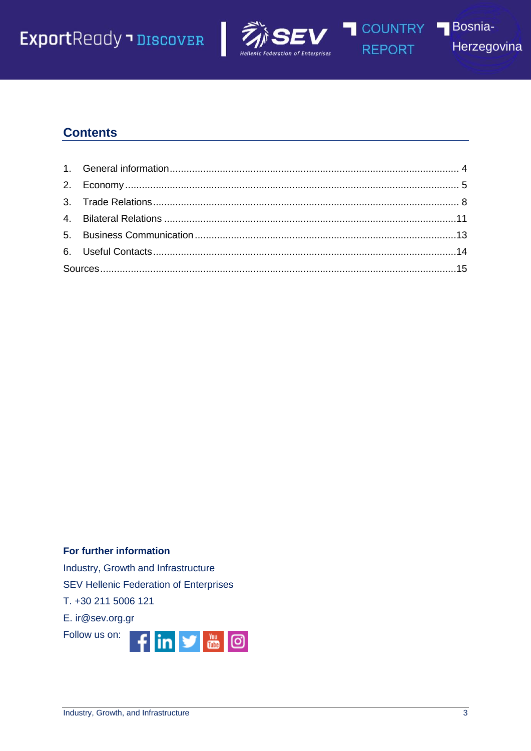

COUNTRY Bosnia-**REPORT** 

Herzegovina

## **Contents**

### For further information

Industry, Growth and Infrastructure

**SEV Hellenic Federation of Enterprises** 

T. +30 211 5006 121

E. ir@sev.org.gr

Follow us on:

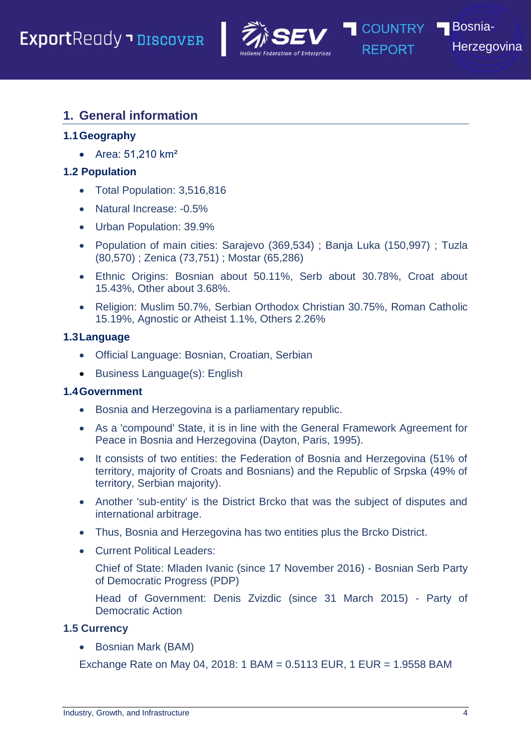

**REPORT** 

### <span id="page-3-0"></span>**1. General information**

### **1.1Geography**

• Area: 51,210 km<sup>2</sup>

### **1.2 Population**

- Total Population: 3,516,816
- Natural Increase: -0.5%
- Urban Population: 39.9%
- Population of main cities: Sarajevo (369,534) ; Banja Luka (150,997) ; Tuzla (80,570) ; Zenica (73,751) ; Mostar (65,286)
- Ethnic Origins: Bosnian about 50.11%, Serb about 30.78%, Croat about 15.43%, Other about 3.68%.
- Religion: Muslim 50.7%, Serbian Orthodox Christian 30.75%, Roman Catholic 15.19%, Agnostic or Atheist 1.1%, Others 2.26%

### **1.3Language**

- Official Language: Bosnian, Croatian, Serbian
- Business Language(s): English

### **1.4Government**

- Bosnia and Herzegovina is a parliamentary republic.
- As a 'compound' State, it is in line with the General Framework Agreement for Peace in Bosnia and Herzegovina (Dayton, Paris, 1995).
- It consists of two entities: the Federation of Bosnia and Herzegovina (51% of territory, majority of Croats and Bosnians) and the Republic of Srpska (49% of territory, Serbian majority).
- Another 'sub-entity' is the District Brcko that was the subject of disputes and international arbitrage.
- Thus, Bosnia and Herzegovina has two entities plus the Brcko District.
- Current Political Leaders:

Chief of State: Mladen Ivanic (since 17 November 2016) - Bosnian Serb Party of Democratic Progress (PDP)

Head of Government: Denis Zvizdic (since 31 March 2015) - Party of Democratic Action

### **1.5 Currency**

Bosnian Mark (BAM)

Exchange Rate on May 04, 2018: 1 BAM = 0.5113 EUR, 1 EUR = 1.9558 BAM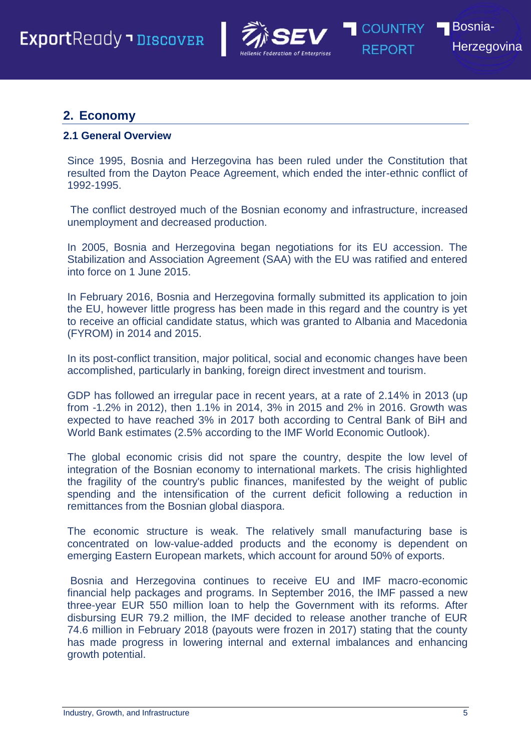

**REPORT** 

### <span id="page-4-0"></span>**2. Economy**

### **2.1 General Overview**

Since 1995, Bosnia and Herzegovina has been ruled under the Constitution that resulted from the Dayton Peace Agreement, which ended the inter-ethnic conflict of 1992-1995.

The conflict destroyed much of the Bosnian economy and infrastructure, increased unemployment and decreased production.

In 2005, Bosnia and Herzegovina began negotiations for its EU accession. The Stabilization and Association Agreement (SAA) with the EU was ratified and entered into force on 1 June 2015.

In February 2016, Bosnia and Herzegovina formally submitted its application to join the EU, however little progress has been made in this regard and the country is yet to receive an official candidate status, which was granted to Albania and Macedonia (FYROM) in 2014 and 2015.

In its post-conflict transition, major political, social and economic changes have been accomplished, particularly in banking, foreign direct investment and tourism.

GDP has followed an irregular pace in recent years, at a rate of 2.14% in 2013 (up from -1.2% in 2012), then 1.1% in 2014, 3% in 2015 and 2% in 2016. Growth was expected to have reached 3% in 2017 both according to Central Bank of BiH and World Bank estimates (2.5% according to the IMF World Economic Outlook).

The global economic crisis did not spare the country, despite the low level of integration of the Bosnian economy to international markets. The crisis highlighted the fragility of the country's public finances, manifested by the weight of public spending and the intensification of the current deficit following a reduction in remittances from the Bosnian global diaspora.

The economic structure is weak. The relatively small manufacturing base is concentrated on low-value-added products and the economy is dependent on emerging Eastern European markets, which account for around 50% of exports.

Bosnia and Herzegovina continues to receive EU and IMF macro-economic financial help packages and programs. In September 2016, the IMF passed a new three-year EUR 550 million loan to help the Government with its reforms. After disbursing EUR 79.2 million, the IMF decided to release another tranche of EUR 74.6 million in February 2018 (payouts were frozen in 2017) stating that the county has made progress in lowering internal and external imbalances and enhancing growth potential.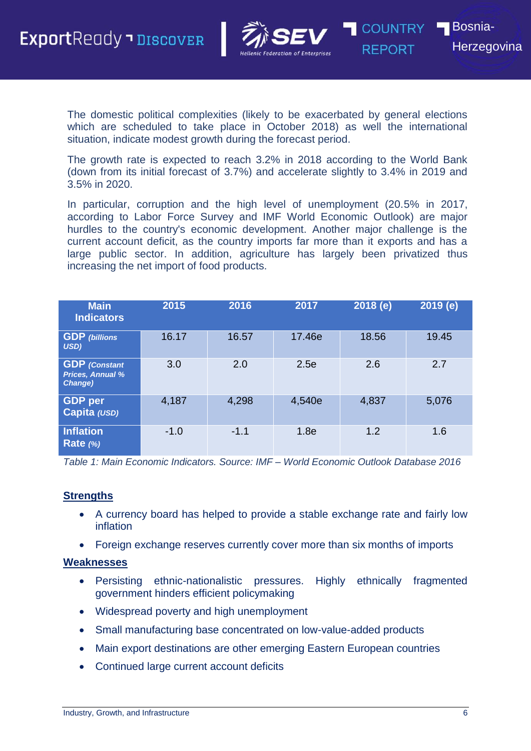

**REPORT** 

The domestic political complexities (likely to be exacerbated by general elections which are scheduled to take place in October 2018) as well the international situation, indicate modest growth during the forecast period.

The growth rate is expected to reach 3.2% in 2018 according to the World Bank (down from its initial forecast of 3.7%) and accelerate slightly to 3.4% in 2019 and 3.5% in 2020.

In particular, corruption and the high level of unemployment (20.5% in 2017, according to Labor Force Survey and IMF World Economic Outlook) are major hurdles to the country's economic development. Another major challenge is the current account deficit, as the country imports far more than it exports and has a large public sector. In addition, agriculture has largely been privatized thus increasing the net import of food products.

| <b>Main</b><br><b>Indicators</b>                           | 2015   | 2016   | 2017   | 2018(e) | 2019(e) |
|------------------------------------------------------------|--------|--------|--------|---------|---------|
| <b>GDP</b> (billions<br>USD)                               | 16.17  | 16.57  | 17.46e | 18.56   | 19.45   |
| <b>GDP</b> (Constant<br><b>Prices, Annual %</b><br>Change) | 3.0    | 2.0    | 2.5e   | 2.6     | 2.7     |
| <b>GDP</b> per<br>Capita (USD)                             | 4,187  | 4,298  | 4,540e | 4,837   | 5,076   |
| <b>Inflation</b><br>Rate (%)                               | $-1.0$ | $-1.1$ | 1.8e   | 1.2     | 1.6     |

*Table 1: Main Economic Indicators. Source: IMF – World Economic Outlook Database 2016*

### **Strengths**

- A currency board has helped to provide a stable exchange rate and fairly low inflation
- Foreign exchange reserves currently cover more than six months of imports

#### **Weaknesses**

- Persisting ethnic-nationalistic pressures. Highly ethnically fragmented government hinders efficient policymaking
- Widespread poverty and high unemployment
- Small manufacturing base concentrated on low-value-added products
- Main export destinations are other emerging Eastern European countries
- Continued large current account deficits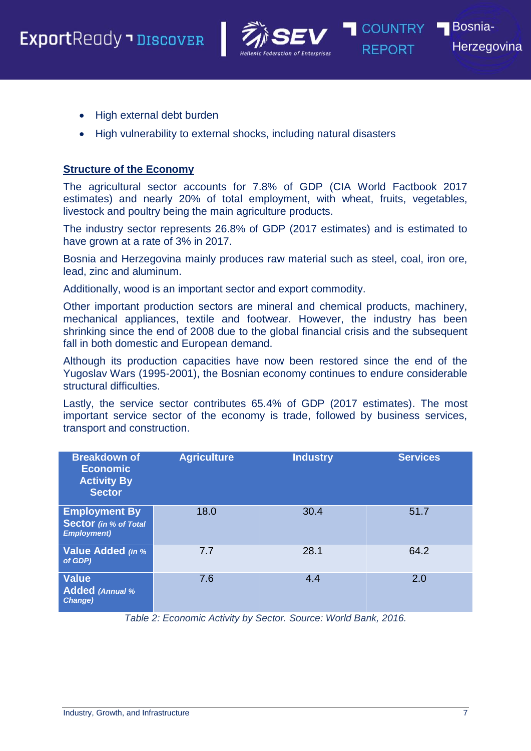

**REPORT** 

- High external debt burden
- High vulnerability to external shocks, including natural disasters

### **Structure of the Economy**

The agricultural sector accounts for 7.8% of GDP (CIA World Factbook 2017 estimates) and nearly 20% of total employment, with wheat, fruits, vegetables, livestock and poultry being the main agriculture products.

The industry sector represents 26.8% of GDP (2017 estimates) and is estimated to have grown at a rate of 3% in 2017.

Bosnia and Herzegovina mainly produces raw material such as steel, coal, iron ore, lead, zinc and aluminum.

Additionally, wood is an important sector and export commodity.

Other important production sectors are mineral and chemical products, machinery, mechanical appliances, textile and footwear. However, the industry has been shrinking since the end of 2008 due to the global financial crisis and the subsequent fall in both domestic and European demand.

Although its production capacities have now been restored since the end of the Yugoslav Wars (1995-2001), the Bosnian economy continues to endure considerable structural difficulties.

Lastly, the service sector contributes 65.4% of GDP (2017 estimates). The most important service sector of the economy is trade, followed by business services, transport and construction.

| <b>Breakdown of</b><br><b>Economic</b><br><b>Activity By</b><br><b>Sector</b> | <b>Agriculture</b> | <b>Industry</b> | <b>Services</b> |
|-------------------------------------------------------------------------------|--------------------|-----------------|-----------------|
| <b>Employment By</b><br><b>Sector</b> (in % of Total<br><b>Employment)</b>    | 18.0               | 30.4            | 51.7            |
| <b>Value Added (in %)</b><br>of GDP)                                          | 7.7                | 28.1            | 64.2            |
| <b>Value</b><br><b>Added (Annual %</b><br>Change)                             | 7.6                | 4.4             | 2.0             |

*Table 2: Economic Activity by Sector. Source: World Bank, 2016.*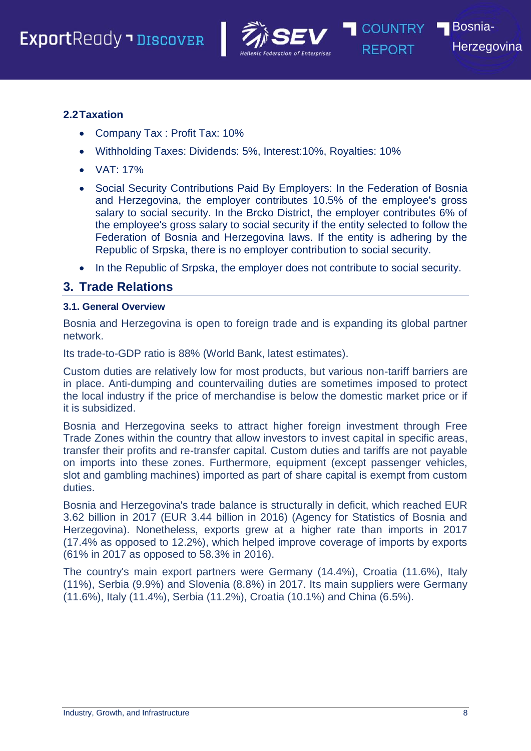

**REPORT** 

### **2.2Taxation**

- Company Tax : Profit Tax: 10%
- Withholding Taxes: Dividends: 5%, Interest:10%, Royalties: 10%
- VAT: 17%
- Social Security Contributions Paid By Employers: In the Federation of Bosnia and Herzegovina, the employer contributes 10.5% of the employee's gross salary to social security. In the Brcko District, the employer contributes 6% of the employee's gross salary to social security if the entity selected to follow the Federation of Bosnia and Herzegovina laws. If the entity is adhering by the Republic of Srpska, there is no employer contribution to social security.
- In the Republic of Srpska, the employer does not contribute to social security.

### <span id="page-7-0"></span>**3. Trade Relations**

### **3.1. General Overview**

Bosnia and Herzegovina is open to foreign trade and is expanding its global partner network.

Its trade-to-GDP ratio is 88% (World Bank, latest estimates).

Custom duties are relatively low for most products, but various non-tariff barriers are in place. Anti-dumping and countervailing duties are sometimes imposed to protect the local industry if the price of merchandise is below the domestic market price or if it is subsidized.

Bosnia and Herzegovina seeks to attract higher foreign investment through Free Trade Zones within the country that allow investors to invest capital in specific areas, transfer their profits and re-transfer capital. Custom duties and tariffs are not payable on imports into these zones. Furthermore, equipment (except passenger vehicles, slot and gambling machines) imported as part of share capital is exempt from custom duties.

Bosnia and Herzegovina's trade balance is structurally in deficit, which reached EUR 3.62 billion in 2017 (EUR 3.44 billion in 2016) (Agency for Statistics of Bosnia and Herzegovina). Nonetheless, exports grew at a higher rate than imports in 2017 (17.4% as opposed to 12.2%), which helped improve coverage of imports by exports (61% in 2017 as opposed to 58.3% in 2016).

The country's main export partners were Germany (14.4%), Croatia (11.6%), Italy (11%), Serbia (9.9%) and Slovenia (8.8%) in 2017. Its main suppliers were Germany (11.6%), Italy (11.4%), Serbia (11.2%), Croatia (10.1%) and China (6.5%).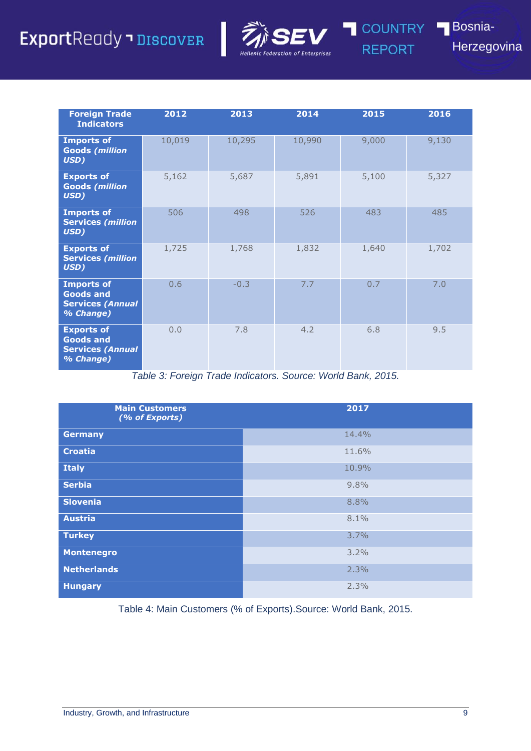

I

COUNTRY **REPORT** 

**Bosnia-Herzegovina** 

| <b>Foreign Trade</b><br><b>Indicators</b>                                     | 2012   | 2013   | 2014   | 2015  | 2016  |
|-------------------------------------------------------------------------------|--------|--------|--------|-------|-------|
| <b>Imports of</b><br><b>Goods (million</b><br>USD)                            | 10,019 | 10,295 | 10,990 | 9,000 | 9,130 |
| <b>Exports of</b><br><b>Goods (million</b><br>USD)                            | 5,162  | 5,687  | 5,891  | 5,100 | 5,327 |
| <b>Imports of</b><br><b>Services (million</b><br>USD)                         | 506    | 498    | 526    | 483   | 485   |
| <b>Exports of</b><br><b>Services (million</b><br>USD)                         | 1,725  | 1,768  | 1,832  | 1,640 | 1,702 |
| <b>Imports of</b><br><b>Goods and</b><br><b>Services (Annual</b><br>% Change) | 0.6    | $-0.3$ | 7.7    | 0.7   | 7.0   |
| <b>Exports of</b><br><b>Goods and</b><br><b>Services (Annual</b><br>% Change) | 0.0    | 7.8    | 4.2    | 6.8   | 9.5   |

*Table 3: Foreign Trade Indicators. Source: World Bank, 2015.*

| <b>Main Customers</b><br>(% of Exports) | 2017  |
|-----------------------------------------|-------|
| <b>Germany</b>                          | 14.4% |
| <b>Croatia</b>                          | 11.6% |
| <b>Italy</b>                            | 10.9% |
| <b>Serbia</b>                           | 9.8%  |
| <b>Slovenia</b>                         | 8.8%  |
| <b>Austria</b>                          | 8.1%  |
| <b>Turkey</b>                           | 3.7%  |
| <b>Montenegro</b>                       | 3.2%  |
| <b>Netherlands</b>                      | 2.3%  |
| <b>Hungary</b>                          | 2.3%  |

Table 4: Main Customers (% of Exports).Source: World Bank, 2015.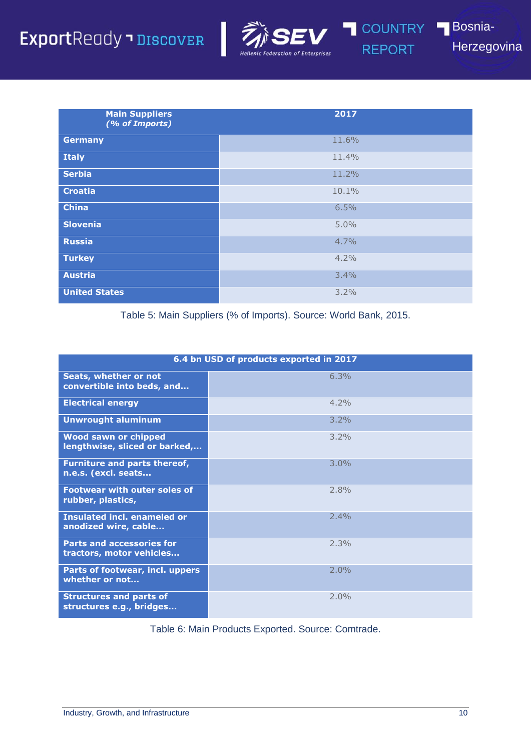

I

COUNTRY **REPORT** 

**Bosnia-Herzegovina** 

| <b>Main Suppliers</b><br>(% of Imports) | 2017  |
|-----------------------------------------|-------|
| <b>Germany</b>                          | 11.6% |
| <b>Italy</b>                            | 11.4% |
| <b>Serbia</b>                           | 11.2% |
| <b>Croatia</b>                          | 10.1% |
| <b>China</b>                            | 6.5%  |
| <b>Slovenia</b>                         | 5.0%  |
| <b>Russia</b>                           | 4.7%  |
| <b>Turkey</b>                           | 4.2%  |
| <b>Austria</b>                          | 3.4%  |
| <b>United States</b>                    | 3.2%  |

Table 5: Main Suppliers (% of Imports). Source: World Bank, 2015.

|                                                              | 6.4 bn USD of products exported in 2017 |  |  |  |  |
|--------------------------------------------------------------|-----------------------------------------|--|--|--|--|
| Seats, whether or not<br>convertible into beds, and          | 6.3%                                    |  |  |  |  |
| <b>Electrical energy</b>                                     | 4.2%                                    |  |  |  |  |
| <b>Unwrought aluminum</b>                                    | 3.2%                                    |  |  |  |  |
| <b>Wood sawn or chipped</b><br>lengthwise, sliced or barked, | $3.2\%$                                 |  |  |  |  |
| <b>Furniture and parts thereof,</b><br>n.e.s. (excl. seats   | 3.0%                                    |  |  |  |  |
| <b>Footwear with outer soles of</b><br>rubber, plastics,     | 2.8%                                    |  |  |  |  |
| <b>Insulated incl. enameled or</b><br>anodized wire, cable   | 2,4%                                    |  |  |  |  |
| <b>Parts and accessories for</b><br>tractors, motor vehicles | 2.3%                                    |  |  |  |  |
| Parts of footwear, incl. uppers<br>whether or not            | $2.0\%$                                 |  |  |  |  |
| <b>Structures and parts of</b><br>structures e.g., bridges   | 2.0%                                    |  |  |  |  |

Table 6: Main Products Exported. Source: Comtrade.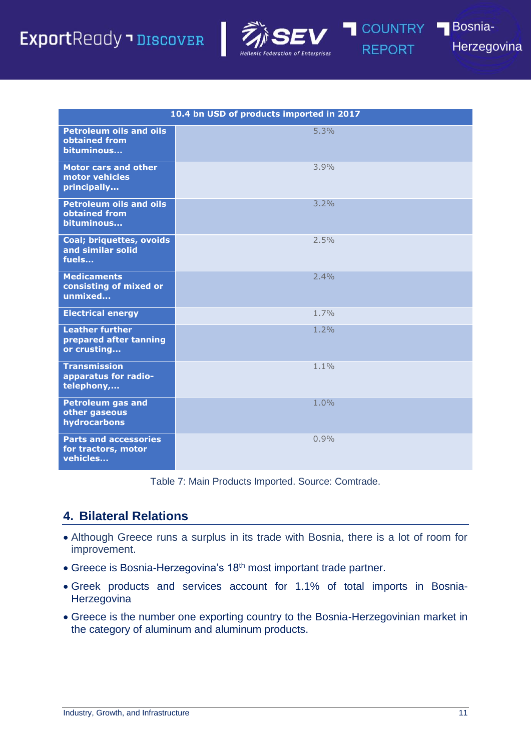

COUNTRY **REPORT** 

**Bosnia-Herzegovina** 

|                                                                 | 10.4 bn USD of products imported in 2017 |  |  |  |  |  |
|-----------------------------------------------------------------|------------------------------------------|--|--|--|--|--|
| <b>Petroleum oils and oils</b><br>obtained from<br>bituminous   | 5.3%                                     |  |  |  |  |  |
| <b>Motor cars and other</b><br>motor vehicles<br>principally    | 3.9%                                     |  |  |  |  |  |
| <b>Petroleum oils and oils</b><br>obtained from<br>bituminous   | 3.2%                                     |  |  |  |  |  |
| Coal; briquettes, ovoids<br>and similar solid<br>fuels          | 2.5%                                     |  |  |  |  |  |
| <b>Medicaments</b><br>consisting of mixed or<br>unmixed         | 2.4%                                     |  |  |  |  |  |
| <b>Electrical energy</b>                                        | 1.7%                                     |  |  |  |  |  |
| <b>Leather further</b><br>prepared after tanning<br>or crusting | 1.2%                                     |  |  |  |  |  |
| <b>Transmission</b><br>apparatus for radio-<br>telephony,       | $1.1\%$                                  |  |  |  |  |  |
| <b>Petroleum gas and</b><br>other gaseous<br>hydrocarbons       | 1.0%                                     |  |  |  |  |  |
| <b>Parts and accessories</b><br>for tractors, motor<br>vehicles | 0.9%                                     |  |  |  |  |  |

Table 7: Main Products Imported. Source: Comtrade.

## <span id="page-10-0"></span>**4. Bilateral Relations**

- Although Greece runs a surplus in its trade with Bosnia, there is a lot of room for improvement.
- Greece is Bosnia-Herzegovina's 18th most important trade partner.
- Greek products and services account for 1.1% of total imports in Bosnia-**Herzegovina**
- Greece is the number one exporting country to the Bosnia-Herzegovinian market in the category of aluminum and aluminum products.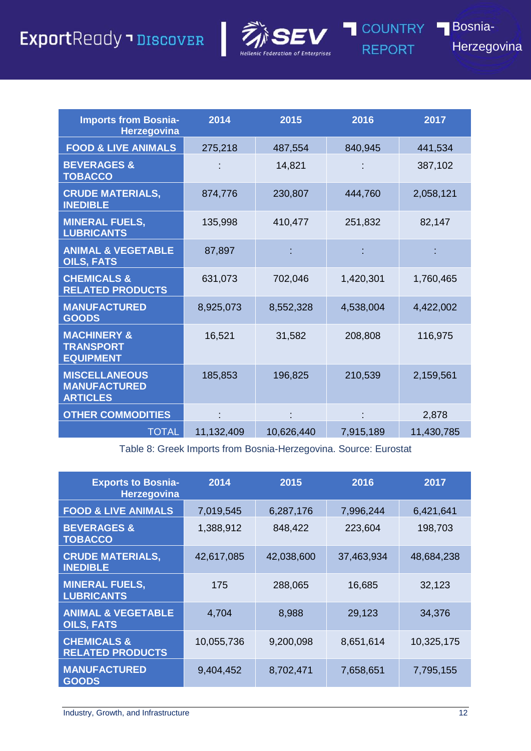

I

**REPORT** 

COUNTRY Bosnia-**Herzegovina** 

| <b>Imports from Bosnia-</b><br><b>Herzegovina</b>              | 2014       | 2015       | 2016      | 2017       |
|----------------------------------------------------------------|------------|------------|-----------|------------|
| <b>FOOD &amp; LIVE ANIMALS</b>                                 | 275,218    | 487,554    | 840,945   | 441,534    |
| <b>BEVERAGES &amp;</b><br><b>TOBACCO</b>                       |            | 14,821     |           | 387,102    |
| <b>CRUDE MATERIALS,</b><br><b>INEDIBLE</b>                     | 874,776    | 230,807    | 444,760   | 2,058,121  |
| <b>MINERAL FUELS,</b><br><b>LUBRICANTS</b>                     | 135,998    | 410,477    | 251,832   | 82,147     |
| <b>ANIMAL &amp; VEGETABLE</b><br><b>OILS, FATS</b>             | 87,897     |            |           |            |
| <b>CHEMICALS &amp;</b><br><b>RELATED PRODUCTS</b>              | 631,073    | 702,046    | 1,420,301 | 1,760,465  |
| <b>MANUFACTURED</b><br><b>GOODS</b>                            | 8,925,073  | 8,552,328  | 4,538,004 | 4,422,002  |
| <b>MACHINERY &amp;</b><br><b>TRANSPORT</b><br><b>EQUIPMENT</b> | 16,521     | 31,582     | 208,808   | 116,975    |
| <b>MISCELLANEOUS</b><br><b>MANUFACTURED</b><br><b>ARTICLES</b> | 185,853    | 196,825    | 210,539   | 2,159,561  |
| <b>OTHER COMMODITIES</b>                                       |            |            |           | 2,878      |
| <b>TOTAL</b>                                                   | 11,132,409 | 10,626,440 | 7,915,189 | 11,430,785 |

Table 8: Greek Imports from Bosnia-Herzegovina. Source: Eurostat

| <b>Exports to Bosnia-</b><br><b>Herzegovina</b>    | 2014       | 2015       | 2016       | 2017       |
|----------------------------------------------------|------------|------------|------------|------------|
| <b>FOOD &amp; LIVE ANIMALS</b>                     | 7,019,545  | 6,287,176  | 7,996,244  | 6,421,641  |
| <b>BEVERAGES &amp;</b><br><b>TOBACCO</b>           | 1,388,912  | 848,422    | 223,604    | 198,703    |
| <b>CRUDE MATERIALS,</b><br><b>INEDIBLE</b>         | 42,617,085 | 42,038,600 | 37,463,934 | 48,684,238 |
| <b>MINERAL FUELS,</b><br><b>LUBRICANTS</b>         | 175        | 288,065    | 16,685     | 32,123     |
| <b>ANIMAL &amp; VEGETABLE</b><br><b>OILS, FATS</b> | 4,704      | 8,988      | 29,123     | 34,376     |
| <b>CHEMICALS &amp;</b><br><b>RELATED PRODUCTS</b>  | 10,055,736 | 9,200,098  | 8,651,614  | 10,325,175 |
| <b>MANUFACTURED</b><br><b>GOODS</b>                | 9,404,452  | 8,702,471  | 7,658,651  | 7,795,155  |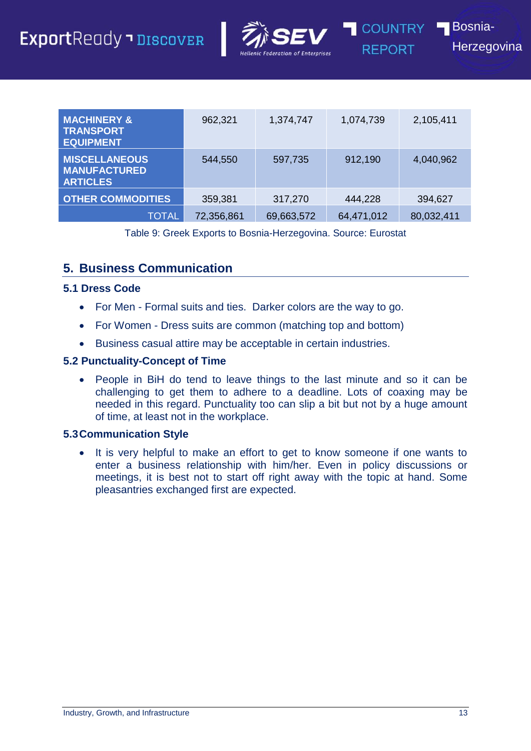

**REPORT** 

| <b>MACHINERY &amp;</b><br><b>TRANSPORT</b><br><b>EQUIPMENT</b> | 962,321    | 1,374,747  | 1,074,739  | 2,105,411  |
|----------------------------------------------------------------|------------|------------|------------|------------|
| <b>MISCELLANEOUS</b><br><b>MANUFACTURED</b><br><b>ARTICLES</b> | 544,550    | 597,735    | 912,190    | 4,040,962  |
| <b>OTHER COMMODITIES</b>                                       | 359,381    | 317,270    | 444,228    | 394,627    |
| <b>TOTAL</b>                                                   | 72,356,861 | 69,663,572 | 64,471,012 | 80,032,411 |

Table 9: Greek Exports to Bosnia-Herzegovina. Source: Eurostat

### <span id="page-12-0"></span>**5. Business Communication**

### **5.1 Dress Code**

- For Men Formal suits and ties. Darker colors are the way to go.
- For Women Dress suits are common (matching top and bottom)
- Business casual attire may be acceptable in certain industries.

### **5.2 Punctuality-Concept of Time**

 People in BiH do tend to leave things to the last minute and so it can be challenging to get them to adhere to a deadline. Lots of coaxing may be needed in this regard. Punctuality too can slip a bit but not by a huge amount of time, at least not in the workplace.

### **5.3Communication Style**

• It is very helpful to make an effort to get to know someone if one wants to enter a business relationship with him/her. Even in policy discussions or meetings, it is best not to start off right away with the topic at hand. Some pleasantries exchanged first are expected.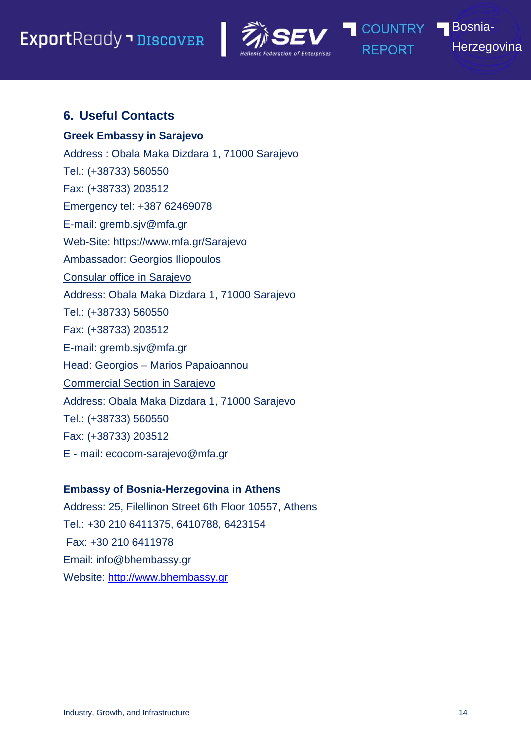

**REPORT** 

## <span id="page-13-0"></span>**6. Useful Contacts**

**Greek Embassy in Sarajevo**  Address : Obala Maka Dizdara 1, 71000 Sarajevo Tel.: (+38733) 560550 Fax: (+38733) 203512 Emergency tel: +387 62469078 E-mail: gremb.sjv@mfa.gr Web-Site: https://www.mfa.gr/Sarajevo Ambassador: Georgios Iliopoulos Consular office in Sarajevo Address: Obala Maka Dizdara 1, 71000 Sarajevo Tel.: (+38733) 560550 Fax: (+38733) 203512 E-mail: gremb.sjv@mfa.gr Head: Georgios – Marios Papaioannou Commercial Section in Sarajevo Address: Obala Maka Dizdara 1, 71000 Sarajevo Tel.: (+38733) 560550 Fax: (+38733) 203512 E - mail: ecocom-sarajevo@mfa.gr

### **Embassy of Bosnia-Herzegovina in Athens**

Address: 25, Filellinon Street 6th Floor 10557, Athens Tel.: +30 210 6411375, 6410788, 6423154 Fax: +30 210 6411978 Email: info@bhembassy.gr Website: [http://www.bhembassy.gr](http://www.bhembassy.gr/)